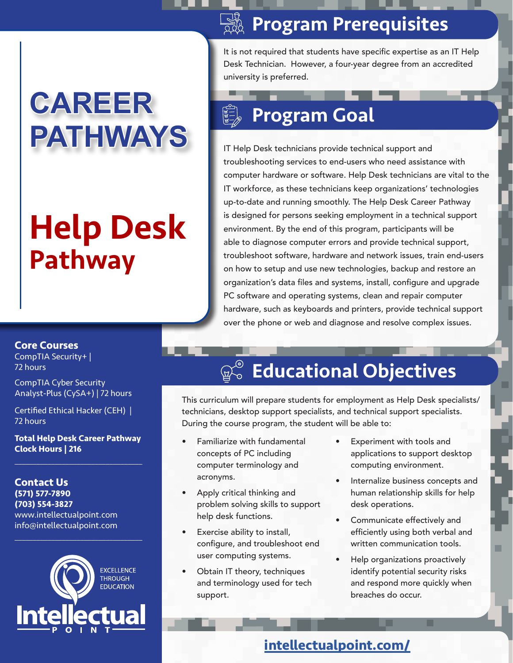# **CAREER PATHWAYS**

# Help Desk Pathway

#### Program Prerequisites

It is not required that students have specific expertise as an IT Help Desk Technician. However, a four-year degree from an accredited university is preferred.

### Program Goal

IT Help Desk technicians provide technical support and troubleshooting services to end-users who need assistance with computer hardware or software. Help Desk technicians are vital to the IT workforce, as these technicians keep organizations' technologies up-to-date and running smoothly. The Help Desk Career Pathway is designed for persons seeking employment in a technical support environment. By the end of this program, participants will be able to diagnose computer errors and provide technical support, troubleshoot software, hardware and network issues, train end-users on how to setup and use new technologies, backup and restore an organization's data files and systems, install, configure and upgrade PC software and operating systems, clean and repair computer hardware, such as keyboards and printers, provide technical support over the phone or web and diagnose and resolve complex issues.

#### **Core Courses**

CompTIA Security+ | 72 hours

CompTIA Cyber Security Analyst-Plus (CySA+) | 72 hours

Certified Ethical Hacker (CEH) | 72 hours

**Total Help Desk Career Pathway Clock Hours | 216**  $\overline{\mathcal{L}}$  , and the set of the set of the set of the set of the set of the set of the set of the set of the set of the set of the set of the set of the set of the set of the set of the set of the set of the set of the s

**Contact Us (571) 577-7890 (703) 554-3827** www.intellectualpoint.com info@intellectualpoint.com



 $\overline{\mathcal{L}}$  , and the set of the set of the set of the set of the set of the set of the set of the set of the set of the set of the set of the set of the set of the set of the set of the set of the set of the set of the s

## **Ro Educational Objectives**

This curriculum will prepare students for employment as Help Desk specialists/ technicians, desktop support specialists, and technical support specialists. During the course program, the student will be able to:

- Familiarize with fundamental concepts of PC including computer terminology and acronyms.
- Apply critical thinking and problem solving skills to support help desk functions.
- Exercise ability to install, configure, and troubleshoot end user computing systems.
- Obtain IT theory, techniques and terminology used for tech support.
- Experiment with tools and applications to support desktop computing environment.
- Internalize business concepts and human relationship skills for help desk operations.
- Communicate effectively and efficiently using both verbal and written communication tools.
- Help organizations proactively identify potential security risks and respond more quickly when breaches do occur.

**intellectualpoint.com/**